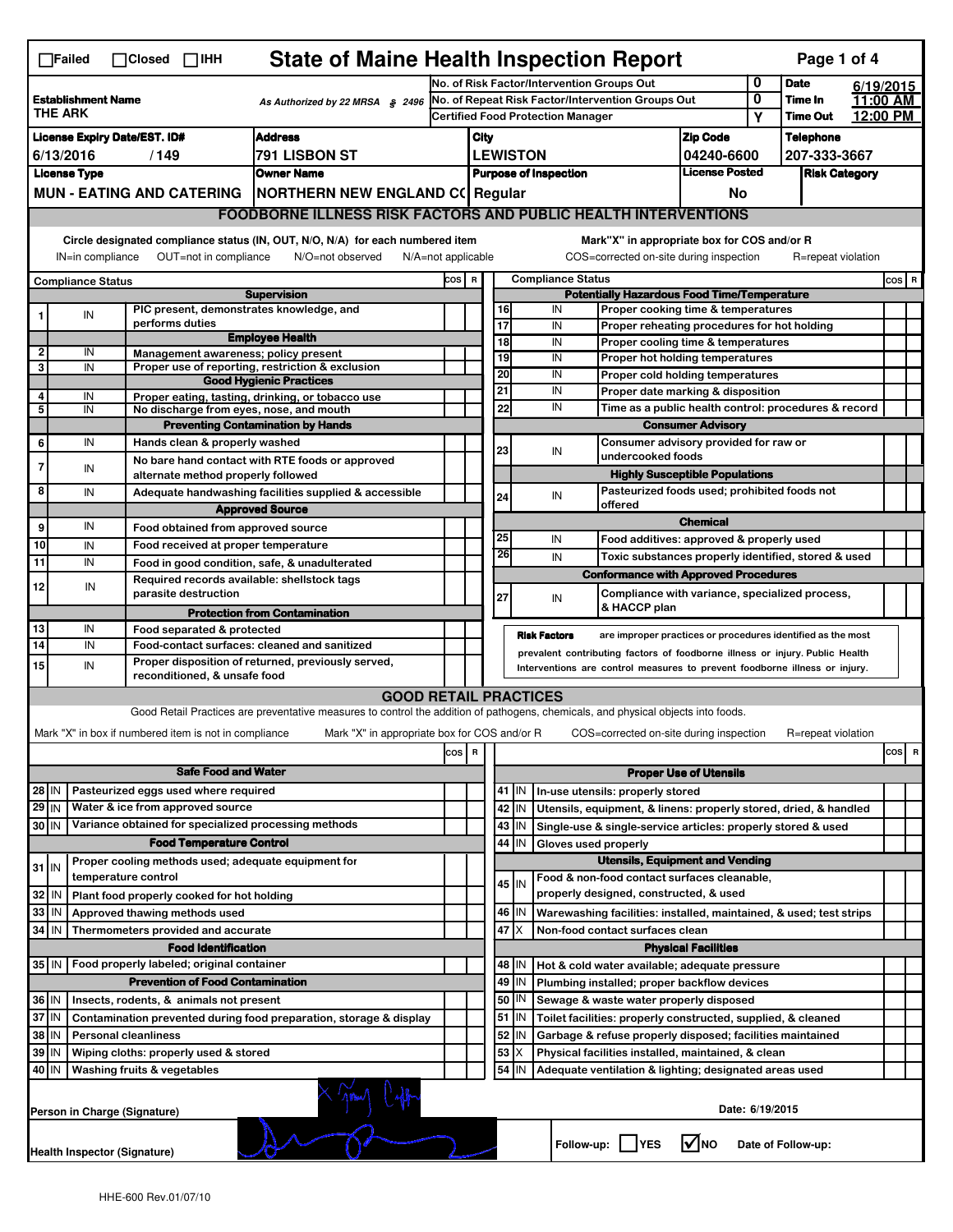| <b>State of Maine Health Inspection Report</b><br>Page 1 of 4<br>$\Box$ Failed<br>$\Box$ Closed $\Box$ IHH                                                                                                                                                                            |                                                    |                                                       |                                                                                                                                   |     |                                            |                                                    |                                                                              |                                                                                                 |                                                             |                            |                    |          |           |
|---------------------------------------------------------------------------------------------------------------------------------------------------------------------------------------------------------------------------------------------------------------------------------------|----------------------------------------------------|-------------------------------------------------------|-----------------------------------------------------------------------------------------------------------------------------------|-----|--------------------------------------------|----------------------------------------------------|------------------------------------------------------------------------------|-------------------------------------------------------------------------------------------------|-------------------------------------------------------------|----------------------------|--------------------|----------|-----------|
|                                                                                                                                                                                                                                                                                       |                                                    |                                                       |                                                                                                                                   |     | No. of Risk Factor/Intervention Groups Out |                                                    |                                                                              |                                                                                                 |                                                             |                            | <b>Date</b>        |          | 6/19/2015 |
| <b>Establishment Name</b><br>As Authorized by 22 MRSA § 2496<br><b>THE ARK</b>                                                                                                                                                                                                        |                                                    |                                                       | No. of Repeat Risk Factor/Intervention Groups Out                                                                                 |     |                                            |                                                    |                                                                              |                                                                                                 | 0<br>Υ                                                      | Time In<br><b>Time Out</b> | 12:00 PM           | 11:00 AM |           |
|                                                                                                                                                                                                                                                                                       |                                                    |                                                       |                                                                                                                                   |     | <b>Certified Food Protection Manager</b>   |                                                    |                                                                              |                                                                                                 |                                                             |                            |                    |          |           |
| <b>License Expiry Date/EST. ID#</b><br><b>Address</b>                                                                                                                                                                                                                                 |                                                    |                                                       |                                                                                                                                   |     | City                                       |                                                    |                                                                              |                                                                                                 | <b>Zip Code</b>                                             |                            | <b>Telephone</b>   |          |           |
| 6/13/2016<br>/149<br>791 LISBON ST                                                                                                                                                                                                                                                    |                                                    |                                                       |                                                                                                                                   |     |                                            | <b>LEWISTON</b>                                    |                                                                              | 04240-6600<br><b>License Posted</b>                                                             |                                                             | 207-333-3667               |                    |          |           |
| <b>Owner Name</b><br><b>License Type</b>                                                                                                                                                                                                                                              |                                                    |                                                       |                                                                                                                                   |     | <b>Purpose of Inspection</b>               |                                                    |                                                                              |                                                                                                 |                                                             | <b>Risk Category</b>       |                    |          |           |
| MUN - EATING AND CATERING   NORTHERN NEW ENGLAND C( Regular                                                                                                                                                                                                                           |                                                    |                                                       |                                                                                                                                   |     |                                            |                                                    |                                                                              |                                                                                                 | No                                                          |                            |                    |          |           |
|                                                                                                                                                                                                                                                                                       |                                                    |                                                       | <b>FOODBORNE ILLNESS RISK FACTORS AND PUBLIC HEALTH INTERVENTIONS</b>                                                             |     |                                            |                                                    |                                                                              |                                                                                                 |                                                             |                            |                    |          |           |
| Circle designated compliance status (IN, OUT, N/O, N/A) for each numbered item<br>Mark"X" in appropriate box for COS and/or R<br>IN=in compliance<br>OUT=not in compliance<br>N/O=not observed<br>N/A=not applicable<br>COS=corrected on-site during inspection<br>R=repeat violation |                                                    |                                                       |                                                                                                                                   |     |                                            |                                                    |                                                                              |                                                                                                 |                                                             |                            |                    |          |           |
| <b>Compliance Status</b>                                                                                                                                                                                                                                                              |                                                    |                                                       |                                                                                                                                   |     |                                            | <b>Compliance Status</b><br>COS R                  |                                                                              |                                                                                                 |                                                             |                            |                    |          |           |
|                                                                                                                                                                                                                                                                                       |                                                    |                                                       | <b>Supervision</b>                                                                                                                |     |                                            | <b>Potentially Hazardous Food Time/Temperature</b> |                                                                              |                                                                                                 |                                                             |                            |                    |          | COS R     |
|                                                                                                                                                                                                                                                                                       | IN                                                 |                                                       | PIC present, demonstrates knowledge, and                                                                                          |     |                                            |                                                    | 16                                                                           | IN                                                                                              | Proper cooking time & temperatures                          |                            |                    |          |           |
|                                                                                                                                                                                                                                                                                       |                                                    | performs duties                                       | <b>Employee Health</b>                                                                                                            |     |                                            |                                                    | 17                                                                           | IN                                                                                              | Proper reheating procedures for hot holding                 |                            |                    |          |           |
| $\overline{\mathbf{2}}$                                                                                                                                                                                                                                                               | IN                                                 | Management awareness; policy present                  |                                                                                                                                   |     |                                            |                                                    | 18                                                                           | IN                                                                                              | Proper cooling time & temperatures                          |                            |                    |          |           |
| 3                                                                                                                                                                                                                                                                                     | IN                                                 |                                                       | Proper use of reporting, restriction & exclusion                                                                                  |     |                                            |                                                    | 19                                                                           | IN                                                                                              | Proper hot holding temperatures                             |                            |                    |          |           |
|                                                                                                                                                                                                                                                                                       |                                                    |                                                       | <b>Good Hygienic Practices</b>                                                                                                    |     |                                            |                                                    | 20                                                                           | IN                                                                                              | Proper cold holding temperatures                            |                            |                    |          |           |
| 4                                                                                                                                                                                                                                                                                     | IN                                                 |                                                       | Proper eating, tasting, drinking, or tobacco use                                                                                  |     |                                            | 21                                                 |                                                                              | IN<br>Proper date marking & disposition<br>Time as a public health control: procedures & record |                                                             |                            |                    |          |           |
| 5                                                                                                                                                                                                                                                                                     | IN                                                 |                                                       | No discharge from eyes, nose, and mouth                                                                                           |     |                                            |                                                    | 22                                                                           | IN                                                                                              |                                                             |                            |                    |          |           |
|                                                                                                                                                                                                                                                                                       | IN                                                 |                                                       | <b>Preventing Contamination by Hands</b>                                                                                          |     |                                            |                                                    |                                                                              |                                                                                                 | <b>Consumer Advisory</b>                                    |                            |                    |          |           |
| 6                                                                                                                                                                                                                                                                                     |                                                    | Hands clean & properly washed                         |                                                                                                                                   |     |                                            |                                                    | 23                                                                           | IN<br>undercooked foods                                                                         | Consumer advisory provided for raw or                       |                            |                    |          |           |
| 7                                                                                                                                                                                                                                                                                     | IN                                                 |                                                       | No bare hand contact with RTE foods or approved                                                                                   |     |                                            |                                                    |                                                                              |                                                                                                 | <b>Highly Susceptible Populations</b>                       |                            |                    |          |           |
| 8                                                                                                                                                                                                                                                                                     | IN                                                 | alternate method properly followed                    |                                                                                                                                   |     |                                            |                                                    |                                                                              |                                                                                                 | Pasteurized foods used; prohibited foods not                |                            |                    |          |           |
|                                                                                                                                                                                                                                                                                       |                                                    |                                                       | Adequate handwashing facilities supplied & accessible                                                                             |     |                                            |                                                    | 24                                                                           | IN<br>offered                                                                                   |                                                             |                            |                    |          |           |
|                                                                                                                                                                                                                                                                                       | IN                                                 |                                                       | <b>Approved Source</b>                                                                                                            |     |                                            |                                                    |                                                                              |                                                                                                 | <b>Chemical</b>                                             |                            |                    |          |           |
| 9                                                                                                                                                                                                                                                                                     |                                                    | Food obtained from approved source                    |                                                                                                                                   |     |                                            |                                                    | 25                                                                           | IN                                                                                              | Food additives: approved & properly used                    |                            |                    |          |           |
| 10                                                                                                                                                                                                                                                                                    | IN                                                 | Food received at proper temperature                   |                                                                                                                                   |     |                                            |                                                    | 26                                                                           | IN                                                                                              | Toxic substances properly identified, stored & used         |                            |                    |          |           |
| 11                                                                                                                                                                                                                                                                                    | IN                                                 |                                                       | Food in good condition, safe, & unadulterated                                                                                     |     |                                            |                                                    |                                                                              | <b>Conformance with Approved Procedures</b>                                                     |                                                             |                            |                    |          |           |
| 12                                                                                                                                                                                                                                                                                    | IN                                                 | parasite destruction                                  | Required records available: shellstock tags                                                                                       |     |                                            | 27                                                 |                                                                              | IN                                                                                              | Compliance with variance, specialized process,              |                            |                    |          |           |
|                                                                                                                                                                                                                                                                                       |                                                    |                                                       | <b>Protection from Contamination</b>                                                                                              |     |                                            |                                                    |                                                                              | & HACCP plan                                                                                    |                                                             |                            |                    |          |           |
| 13                                                                                                                                                                                                                                                                                    | IN                                                 | Food separated & protected                            |                                                                                                                                   |     |                                            |                                                    | <b>Risk Factors</b>                                                          |                                                                                                 | are improper practices or procedures identified as the most |                            |                    |          |           |
| 14                                                                                                                                                                                                                                                                                    | IN<br>Food-contact surfaces: cleaned and sanitized |                                                       |                                                                                                                                   |     |                                            |                                                    | prevalent contributing factors of foodborne illness or injury. Public Health |                                                                                                 |                                                             |                            |                    |          |           |
| 15                                                                                                                                                                                                                                                                                    | IN                                                 | reconditioned, & unsafe food                          | Proper disposition of returned, previously served,                                                                                |     |                                            |                                                    |                                                                              | Interventions are control measures to prevent foodborne illness or injury.                      |                                                             |                            |                    |          |           |
|                                                                                                                                                                                                                                                                                       |                                                    |                                                       | <b>GOOD RETAIL PRACTICES</b>                                                                                                      |     |                                            |                                                    |                                                                              |                                                                                                 |                                                             |                            |                    |          |           |
|                                                                                                                                                                                                                                                                                       |                                                    |                                                       | Good Retail Practices are preventative measures to control the addition of pathogens, chemicals, and physical objects into foods. |     |                                            |                                                    |                                                                              |                                                                                                 |                                                             |                            |                    |          |           |
|                                                                                                                                                                                                                                                                                       |                                                    |                                                       |                                                                                                                                   |     |                                            |                                                    |                                                                              |                                                                                                 |                                                             |                            |                    |          |           |
|                                                                                                                                                                                                                                                                                       |                                                    | Mark "X" in box if numbered item is not in compliance | Mark "X" in appropriate box for COS and/or R                                                                                      |     |                                            |                                                    |                                                                              | COS=corrected on-site during inspection                                                         |                                                             |                            | R=repeat violation |          |           |
|                                                                                                                                                                                                                                                                                       |                                                    |                                                       |                                                                                                                                   | cos | R                                          |                                                    |                                                                              |                                                                                                 |                                                             |                            |                    |          | cos<br>R  |
|                                                                                                                                                                                                                                                                                       | <b>Safe Food and Water</b>                         |                                                       |                                                                                                                                   |     |                                            |                                                    | <b>Proper Use of Utensils</b>                                                |                                                                                                 |                                                             |                            |                    |          |           |
| Pasteurized eggs used where required<br>28 IN                                                                                                                                                                                                                                         |                                                    |                                                       |                                                                                                                                   |     |                                            |                                                    | 41   IN                                                                      | In-use utensils: properly stored                                                                |                                                             |                            |                    |          |           |
| 29 IN                                                                                                                                                                                                                                                                                 |                                                    | Water & ice from approved source                      |                                                                                                                                   |     |                                            |                                                    | 42 IN                                                                        | Utensils, equipment, & linens: properly stored, dried, & handled                                |                                                             |                            |                    |          |           |
| $30$ IN                                                                                                                                                                                                                                                                               |                                                    | Variance obtained for specialized processing methods  |                                                                                                                                   |     |                                            |                                                    | 43 IN                                                                        | Single-use & single-service articles: properly stored & used                                    |                                                             |                            |                    |          |           |
|                                                                                                                                                                                                                                                                                       |                                                    | <b>Food Temperature Control</b>                       |                                                                                                                                   |     |                                            |                                                    | 44<br>IN                                                                     | Gloves used properly                                                                            |                                                             |                            |                    |          |           |
| $31$ IN                                                                                                                                                                                                                                                                               |                                                    | Proper cooling methods used; adequate equipment for   |                                                                                                                                   |     |                                            | <b>Utensils, Equipment and Vending</b>             |                                                                              |                                                                                                 |                                                             |                            |                    |          |           |
|                                                                                                                                                                                                                                                                                       |                                                    | temperature control                                   |                                                                                                                                   |     |                                            |                                                    | 45 IN                                                                        | Food & non-food contact surfaces cleanable.                                                     |                                                             |                            |                    |          |           |
| 32                                                                                                                                                                                                                                                                                    | IN                                                 | Plant food properly cooked for hot holding            |                                                                                                                                   |     |                                            |                                                    |                                                                              | properly designed, constructed, & used                                                          |                                                             |                            |                    |          |           |
| 33                                                                                                                                                                                                                                                                                    | IN                                                 | Approved thawing methods used                         |                                                                                                                                   |     |                                            |                                                    | 46 IN                                                                        | Warewashing facilities: installed, maintained, & used; test strips                              |                                                             |                            |                    |          |           |
| 34                                                                                                                                                                                                                                                                                    | IN                                                 | Thermometers provided and accurate                    |                                                                                                                                   |     |                                            |                                                    | 47<br>ΙX                                                                     | Non-food contact surfaces clean                                                                 |                                                             |                            |                    |          |           |
|                                                                                                                                                                                                                                                                                       |                                                    | <b>Food Identification</b>                            |                                                                                                                                   |     |                                            |                                                    |                                                                              |                                                                                                 | <b>Physical Facilities</b>                                  |                            |                    |          |           |
| Food properly labeled; original container<br>$35$ IN                                                                                                                                                                                                                                  |                                                    |                                                       |                                                                                                                                   |     |                                            |                                                    | 48   IN                                                                      | Hot & cold water available; adequate pressure                                                   |                                                             |                            |                    |          |           |
| <b>Prevention of Food Contamination</b>                                                                                                                                                                                                                                               |                                                    |                                                       |                                                                                                                                   |     |                                            |                                                    | 49 IN                                                                        | Plumbing installed; proper backflow devices                                                     |                                                             |                            |                    |          |           |
| 36 IN<br>Insects, rodents, & animals not present                                                                                                                                                                                                                                      |                                                    |                                                       |                                                                                                                                   |     |                                            |                                                    | 50   IN                                                                      | Sewage & waste water properly disposed                                                          |                                                             |                            |                    |          |           |
| 37<br>IN<br>Contamination prevented during food preparation, storage & display                                                                                                                                                                                                        |                                                    |                                                       |                                                                                                                                   |     |                                            |                                                    | 51<br>IN                                                                     | Toilet facilities: properly constructed, supplied, & cleaned                                    |                                                             |                            |                    |          |           |
| 38<br>IN<br><b>Personal cleanliness</b>                                                                                                                                                                                                                                               |                                                    |                                                       |                                                                                                                                   |     |                                            | 52 IN                                              | Garbage & refuse properly disposed; facilities maintained                    |                                                                                                 |                                                             |                            |                    |          |           |
| 39<br>Wiping cloths: properly used & stored<br>IN                                                                                                                                                                                                                                     |                                                    |                                                       |                                                                                                                                   |     |                                            | 53<br>X                                            | Physical facilities installed, maintained, & clean                           |                                                                                                 |                                                             |                            |                    |          |           |
| 40 IN<br>Washing fruits & vegetables<br>54 J IN<br>Adequate ventilation & lighting; designated areas used                                                                                                                                                                             |                                                    |                                                       |                                                                                                                                   |     |                                            |                                                    |                                                                              |                                                                                                 |                                                             |                            |                    |          |           |
| Date: 6/19/2015<br>Person in Charge (Signature)                                                                                                                                                                                                                                       |                                                    |                                                       |                                                                                                                                   |     |                                            |                                                    |                                                                              |                                                                                                 |                                                             |                            |                    |          |           |
| Follow-up: YES<br>l√Ino<br>Date of Follow-up:<br><b>Health Inspector (Signature)</b>                                                                                                                                                                                                  |                                                    |                                                       |                                                                                                                                   |     |                                            |                                                    |                                                                              |                                                                                                 |                                                             |                            |                    |          |           |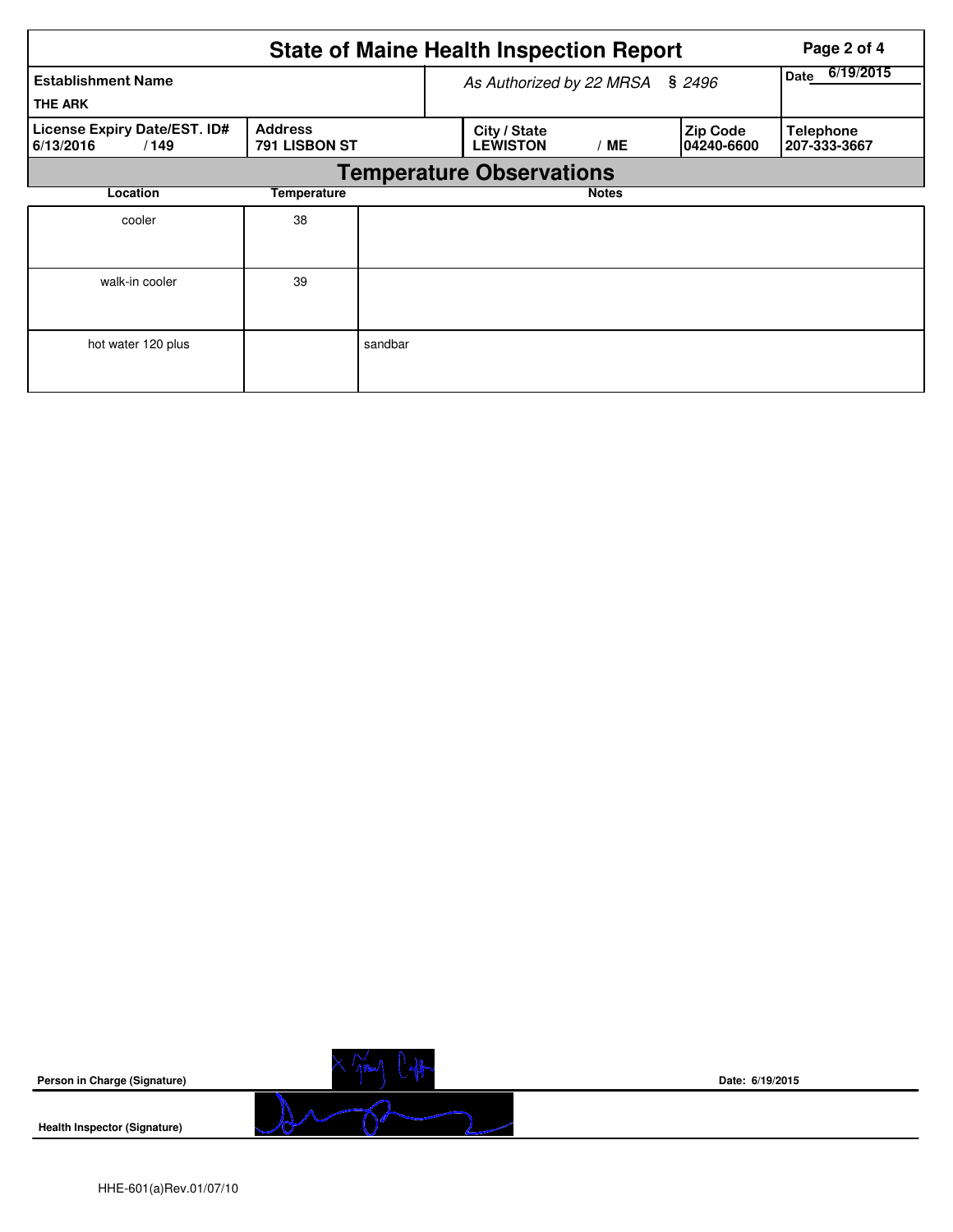|                                                   | Page 2 of 4                     |         |                                 |              |                               |                                  |  |
|---------------------------------------------------|---------------------------------|---------|---------------------------------|--------------|-------------------------------|----------------------------------|--|
| <b>Establishment Name</b><br><b>THE ARK</b>       |                                 |         | As Authorized by 22 MRSA        |              | \$2496                        | 6/19/2015<br>Date                |  |
| License Expiry Date/EST. ID#<br>6/13/2016<br>/149 | <b>Address</b><br>791 LISBON ST |         | City / State<br><b>LEWISTON</b> | / ME         | <b>Zip Code</b><br>04240-6600 | <b>Telephone</b><br>207-333-3667 |  |
| <b>Temperature Observations</b>                   |                                 |         |                                 |              |                               |                                  |  |
| Location<br>Temperature                           |                                 |         |                                 | <b>Notes</b> |                               |                                  |  |
| cooler                                            | 38                              |         |                                 |              |                               |                                  |  |
| walk-in cooler                                    | 39                              |         |                                 |              |                               |                                  |  |
| hot water 120 plus                                |                                 | sandbar |                                 |              |                               |                                  |  |



**Date: 6/19/2015**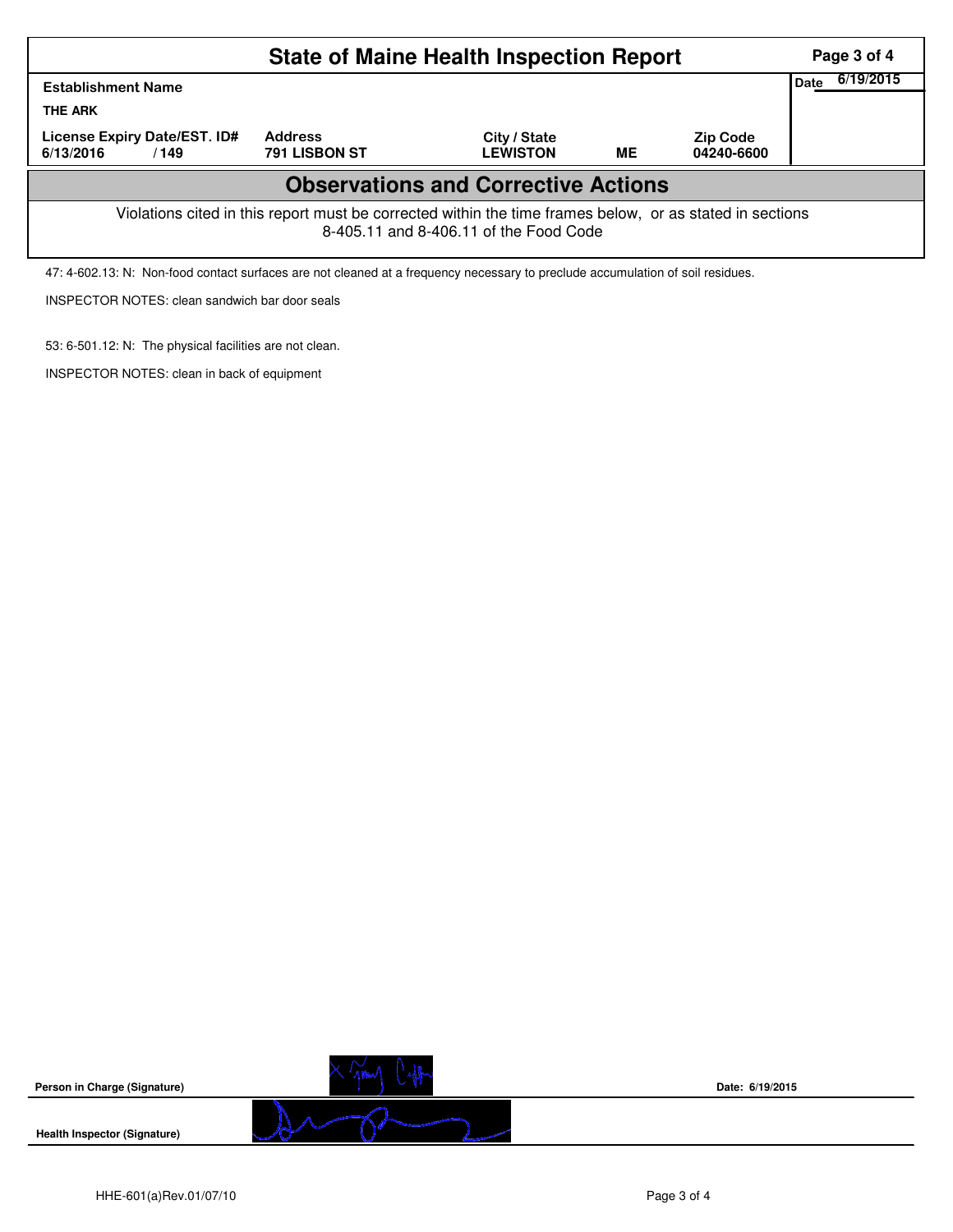|                                                                                                                                                    | Page 3 of 4                     |                                 |    |                               |  |  |  |  |  |
|----------------------------------------------------------------------------------------------------------------------------------------------------|---------------------------------|---------------------------------|----|-------------------------------|--|--|--|--|--|
| Date<br><b>Establishment Name</b><br><b>THE ARK</b>                                                                                                |                                 |                                 |    |                               |  |  |  |  |  |
| License Expiry Date/EST. ID#<br>6/13/2016<br>/149                                                                                                  | <b>Address</b><br>791 LISBON ST | City / State<br><b>LEWISTON</b> | ME | <b>Zip Code</b><br>04240-6600 |  |  |  |  |  |
| <b>Observations and Corrective Actions</b>                                                                                                         |                                 |                                 |    |                               |  |  |  |  |  |
| Violations cited in this report must be corrected within the time frames below, or as stated in sections<br>8-405.11 and 8-406.11 of the Food Code |                                 |                                 |    |                               |  |  |  |  |  |
| 47: 4-602.13: N: Non-food contact surfaces are not cleaned at a frequency necessary to preclude accumulation of soil residues.                     |                                 |                                 |    |                               |  |  |  |  |  |



INSPECTOR NOTES: clean sandwich bar door seals

53: 6-501.12: N: The physical facilities are not clean. INSPECTOR NOTES: clean in back of equipment